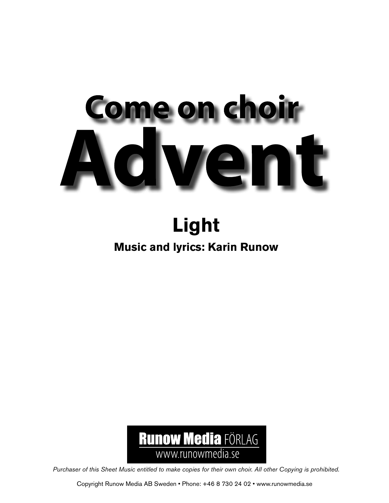## me on choir  $\bullet$

## **Light**

## **Music and lyrics: Karin Runow**



*Purchaser of this Sheet Music entitled to make copies for their own choir. All other Copying is prohibited.*

Copyright Runow Media AB Sweden • Phone: +46 8 730 24 02 • www.runowmedia.se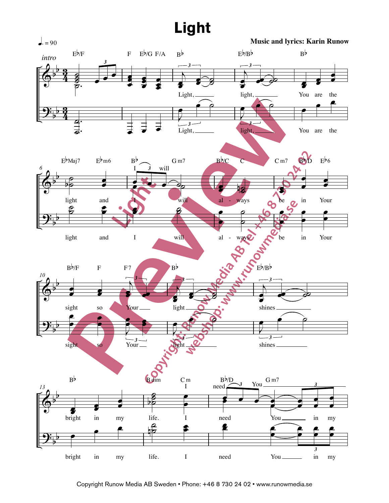## **Light Light**

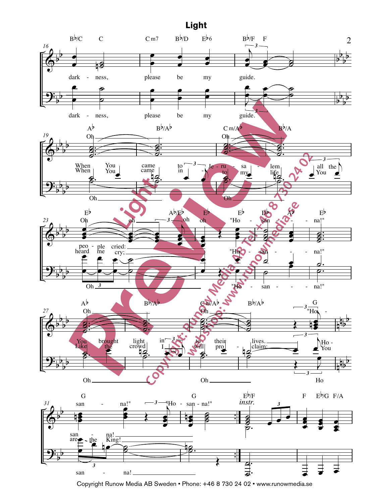

 $I$  in  $h^+$ 

Copyright Runow Media AB Sweden • Phone: +46 8 730 24 02 • www.runowmedia.se *3*  $\mathbf{S}$  is a natural point of  $\mathbf{S}$ . t Runow Media AB Sweden • Phone: +46 8 730 24 02 • www.runowmedia.se<br>. Copyright Runow Media AB Sweden · Phone: +46 8 730 24 02 · www.runowmedia.se . .